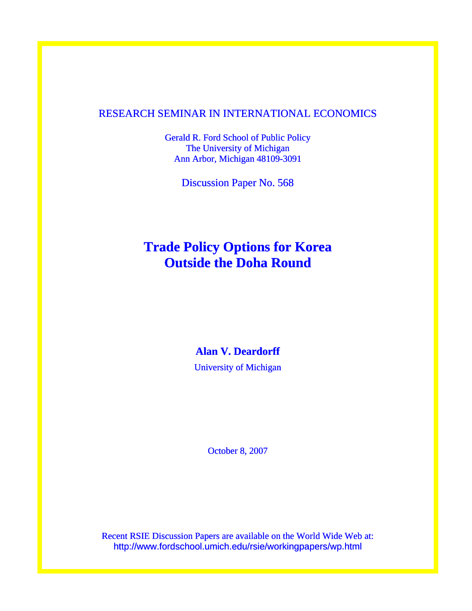### RESEARCH SEMINAR IN INTERNATIONAL ECONOMICS

Gerald R. Ford School of Public Policy The University of Michigan Ann Arbor, Michigan 48109-3091

Discussion Paper No. 568

## **Trade Policy Options for Korea Outside the Doha Round**

**Alan V. Deardorff**  University of Michigan

October 8, 2007

Recent RSIE Discussion Papers are available on the World Wide Web at: http://www.fordschool.umich.edu/rsie/workingpapers/wp.html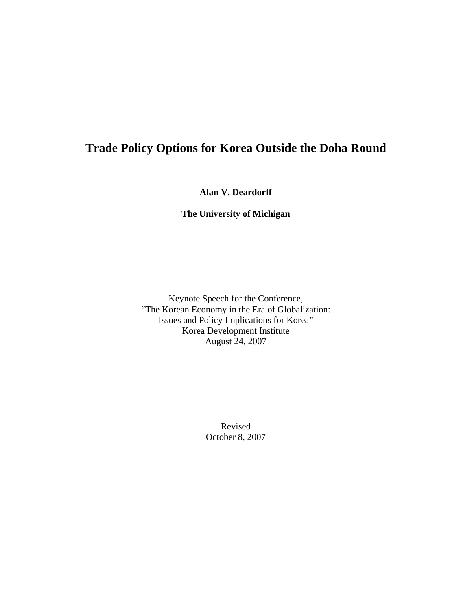## **Trade Policy Options for Korea Outside the Doha Round**

**Alan V. Deardorff** 

**The University of Michigan** 

Keynote Speech for the Conference, "The Korean Economy in the Era of Globalization: Issues and Policy Implications for Korea" Korea Development Institute August 24, 2007

> Revised October 8, 2007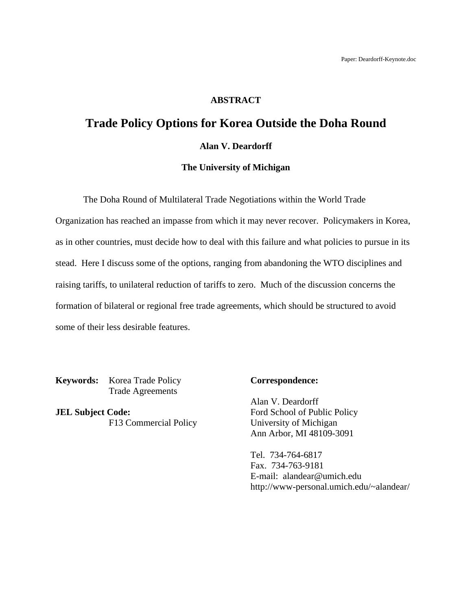#### **ABSTRACT**

# **Trade Policy Options for Korea Outside the Doha Round**

## **Alan V. Deardorff**

#### **The University of Michigan**

The Doha Round of Multilateral Trade Negotiations within the World Trade

Organization has reached an impasse from which it may never recover. Policymakers in Korea, as in other countries, must decide how to deal with this failure and what policies to pursue in its stead. Here I discuss some of the options, ranging from abandoning the WTO disciplines and raising tariffs, to unilateral reduction of tariffs to zero. Much of the discussion concerns the formation of bilateral or regional free trade agreements, which should be structured to avoid some of their less desirable features.

**Keywords:** Korea Trade Policy **Correspondence:** Trade Agreements

**JEL Subject Code:** Ford School of Public Policy

Alan V. Deardorff F13 Commercial Policy University of Michigan Ann Arbor, MI 48109-3091

> Tel. 734-764-6817 Fax. 734-763-9181 E-mail: alandear@umich.edu http://www-personal.umich.edu/~alandear/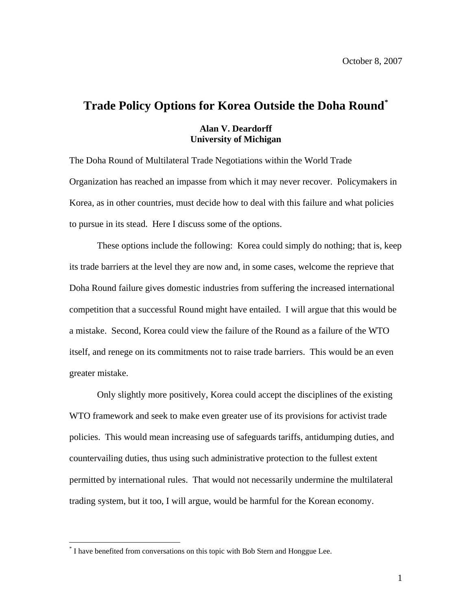## **Trade Policy Options for Korea Outside the Doha Round[\\*](#page-3-0)**

#### **Alan V. Deardorff University of Michigan**

The Doha Round of Multilateral Trade Negotiations within the World Trade Organization has reached an impasse from which it may never recover. Policymakers in Korea, as in other countries, must decide how to deal with this failure and what policies to pursue in its stead. Here I discuss some of the options.

These options include the following: Korea could simply do nothing; that is, keep its trade barriers at the level they are now and, in some cases, welcome the reprieve that Doha Round failure gives domestic industries from suffering the increased international competition that a successful Round might have entailed. I will argue that this would be a mistake. Second, Korea could view the failure of the Round as a failure of the WTO itself, and renege on its commitments not to raise trade barriers. This would be an even greater mistake.

Only slightly more positively, Korea could accept the disciplines of the existing WTO framework and seek to make even greater use of its provisions for activist trade policies. This would mean increasing use of safeguards tariffs, antidumping duties, and countervailing duties, thus using such administrative protection to the fullest extent permitted by international rules. That would not necessarily undermine the multilateral trading system, but it too, I will argue, would be harmful for the Korean economy.

 $\overline{a}$ 

<span id="page-3-0"></span><sup>\*</sup> I have benefited from conversations on this topic with Bob Stern and Honggue Lee.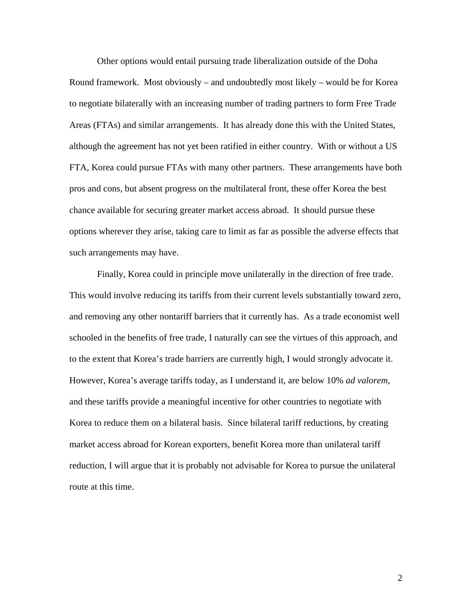Other options would entail pursuing trade liberalization outside of the Doha Round framework. Most obviously – and undoubtedly most likely – would be for Korea to negotiate bilaterally with an increasing number of trading partners to form Free Trade Areas (FTAs) and similar arrangements. It has already done this with the United States, although the agreement has not yet been ratified in either country. With or without a US FTA, Korea could pursue FTAs with many other partners. These arrangements have both pros and cons, but absent progress on the multilateral front, these offer Korea the best chance available for securing greater market access abroad. It should pursue these options wherever they arise, taking care to limit as far as possible the adverse effects that such arrangements may have.

Finally, Korea could in principle move unilaterally in the direction of free trade. This would involve reducing its tariffs from their current levels substantially toward zero, and removing any other nontariff barriers that it currently has. As a trade economist well schooled in the benefits of free trade, I naturally can see the virtues of this approach, and to the extent that Korea's trade barriers are currently high, I would strongly advocate it. However, Korea's average tariffs today, as I understand it, are below 10% *ad valorem*, and these tariffs provide a meaningful incentive for other countries to negotiate with Korea to reduce them on a bilateral basis. Since bilateral tariff reductions, by creating market access abroad for Korean exporters, benefit Korea more than unilateral tariff reduction, I will argue that it is probably not advisable for Korea to pursue the unilateral route at this time.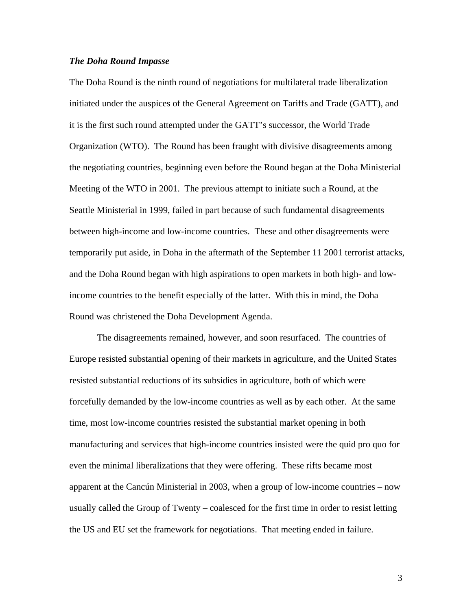#### *The Doha Round Impasse*

The Doha Round is the ninth round of negotiations for multilateral trade liberalization initiated under the auspices of the General Agreement on Tariffs and Trade (GATT), and it is the first such round attempted under the GATT's successor, the World Trade Organization (WTO). The Round has been fraught with divisive disagreements among the negotiating countries, beginning even before the Round began at the Doha Ministerial Meeting of the WTO in 2001. The previous attempt to initiate such a Round, at the Seattle Ministerial in 1999, failed in part because of such fundamental disagreements between high-income and low-income countries. These and other disagreements were temporarily put aside, in Doha in the aftermath of the September 11 2001 terrorist attacks, and the Doha Round began with high aspirations to open markets in both high- and lowincome countries to the benefit especially of the latter. With this in mind, the Doha Round was christened the Doha Development Agenda.

 The disagreements remained, however, and soon resurfaced. The countries of Europe resisted substantial opening of their markets in agriculture, and the United States resisted substantial reductions of its subsidies in agriculture, both of which were forcefully demanded by the low-income countries as well as by each other. At the same time, most low-income countries resisted the substantial market opening in both manufacturing and services that high-income countries insisted were the quid pro quo for even the minimal liberalizations that they were offering. These rifts became most apparent at the Cancún Ministerial in 2003, when a group of low-income countries – now usually called the Group of Twenty – coalesced for the first time in order to resist letting the US and EU set the framework for negotiations. That meeting ended in failure.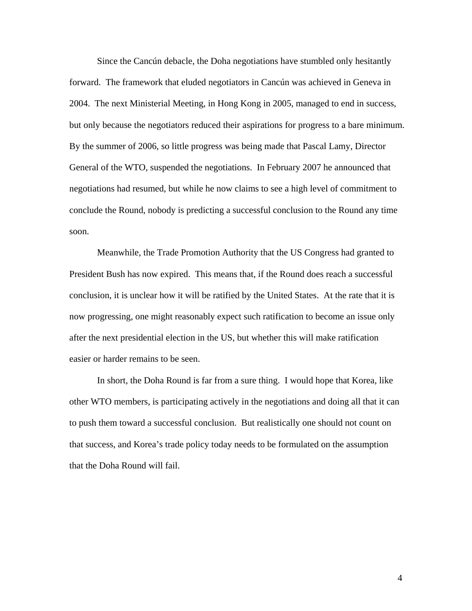Since the Cancún debacle, the Doha negotiations have stumbled only hesitantly forward. The framework that eluded negotiators in Cancún was achieved in Geneva in 2004. The next Ministerial Meeting, in Hong Kong in 2005, managed to end in success, but only because the negotiators reduced their aspirations for progress to a bare minimum. By the summer of 2006, so little progress was being made that Pascal Lamy, Director General of the WTO, suspended the negotiations. In February 2007 he announced that negotiations had resumed, but while he now claims to see a high level of commitment to conclude the Round, nobody is predicting a successful conclusion to the Round any time soon.

 Meanwhile, the Trade Promotion Authority that the US Congress had granted to President Bush has now expired. This means that, if the Round does reach a successful conclusion, it is unclear how it will be ratified by the United States. At the rate that it is now progressing, one might reasonably expect such ratification to become an issue only after the next presidential election in the US, but whether this will make ratification easier or harder remains to be seen.

 In short, the Doha Round is far from a sure thing. I would hope that Korea, like other WTO members, is participating actively in the negotiations and doing all that it can to push them toward a successful conclusion. But realistically one should not count on that success, and Korea's trade policy today needs to be formulated on the assumption that the Doha Round will fail.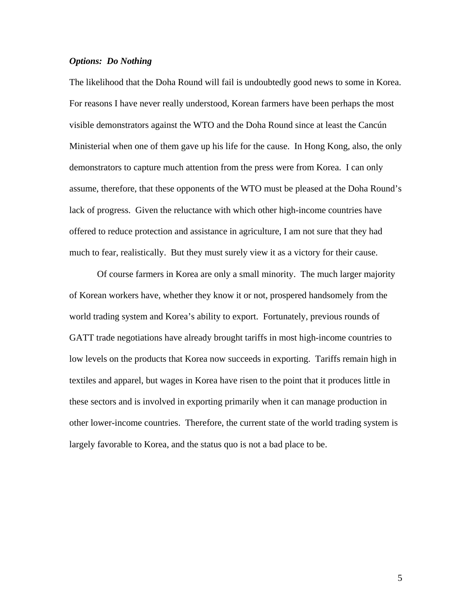#### *Options: Do Nothing*

The likelihood that the Doha Round will fail is undoubtedly good news to some in Korea. For reasons I have never really understood, Korean farmers have been perhaps the most visible demonstrators against the WTO and the Doha Round since at least the Cancún Ministerial when one of them gave up his life for the cause. In Hong Kong, also, the only demonstrators to capture much attention from the press were from Korea. I can only assume, therefore, that these opponents of the WTO must be pleased at the Doha Round's lack of progress. Given the reluctance with which other high-income countries have offered to reduce protection and assistance in agriculture, I am not sure that they had much to fear, realistically. But they must surely view it as a victory for their cause.

 Of course farmers in Korea are only a small minority. The much larger majority of Korean workers have, whether they know it or not, prospered handsomely from the world trading system and Korea's ability to export. Fortunately, previous rounds of GATT trade negotiations have already brought tariffs in most high-income countries to low levels on the products that Korea now succeeds in exporting. Tariffs remain high in textiles and apparel, but wages in Korea have risen to the point that it produces little in these sectors and is involved in exporting primarily when it can manage production in other lower-income countries. Therefore, the current state of the world trading system is largely favorable to Korea, and the status quo is not a bad place to be.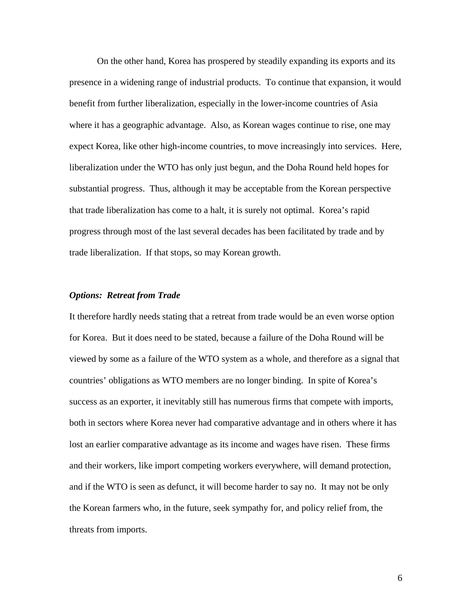On the other hand, Korea has prospered by steadily expanding its exports and its presence in a widening range of industrial products. To continue that expansion, it would benefit from further liberalization, especially in the lower-income countries of Asia where it has a geographic advantage. Also, as Korean wages continue to rise, one may expect Korea, like other high-income countries, to move increasingly into services. Here, liberalization under the WTO has only just begun, and the Doha Round held hopes for substantial progress. Thus, although it may be acceptable from the Korean perspective that trade liberalization has come to a halt, it is surely not optimal. Korea's rapid progress through most of the last several decades has been facilitated by trade and by trade liberalization. If that stops, so may Korean growth.

#### *Options: Retreat from Trade*

It therefore hardly needs stating that a retreat from trade would be an even worse option for Korea. But it does need to be stated, because a failure of the Doha Round will be viewed by some as a failure of the WTO system as a whole, and therefore as a signal that countries' obligations as WTO members are no longer binding. In spite of Korea's success as an exporter, it inevitably still has numerous firms that compete with imports, both in sectors where Korea never had comparative advantage and in others where it has lost an earlier comparative advantage as its income and wages have risen. These firms and their workers, like import competing workers everywhere, will demand protection, and if the WTO is seen as defunct, it will become harder to say no. It may not be only the Korean farmers who, in the future, seek sympathy for, and policy relief from, the threats from imports.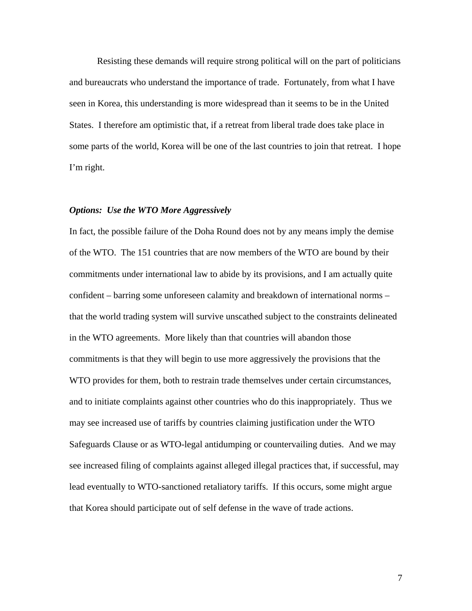Resisting these demands will require strong political will on the part of politicians and bureaucrats who understand the importance of trade. Fortunately, from what I have seen in Korea, this understanding is more widespread than it seems to be in the United States. I therefore am optimistic that, if a retreat from liberal trade does take place in some parts of the world, Korea will be one of the last countries to join that retreat. I hope I'm right.

#### *Options: Use the WTO More Aggressively*

In fact, the possible failure of the Doha Round does not by any means imply the demise of the WTO. The 151 countries that are now members of the WTO are bound by their commitments under international law to abide by its provisions, and I am actually quite confident – barring some unforeseen calamity and breakdown of international norms – that the world trading system will survive unscathed subject to the constraints delineated in the WTO agreements. More likely than that countries will abandon those commitments is that they will begin to use more aggressively the provisions that the WTO provides for them, both to restrain trade themselves under certain circumstances, and to initiate complaints against other countries who do this inappropriately. Thus we may see increased use of tariffs by countries claiming justification under the WTO Safeguards Clause or as WTO-legal antidumping or countervailing duties. And we may see increased filing of complaints against alleged illegal practices that, if successful, may lead eventually to WTO-sanctioned retaliatory tariffs. If this occurs, some might argue that Korea should participate out of self defense in the wave of trade actions.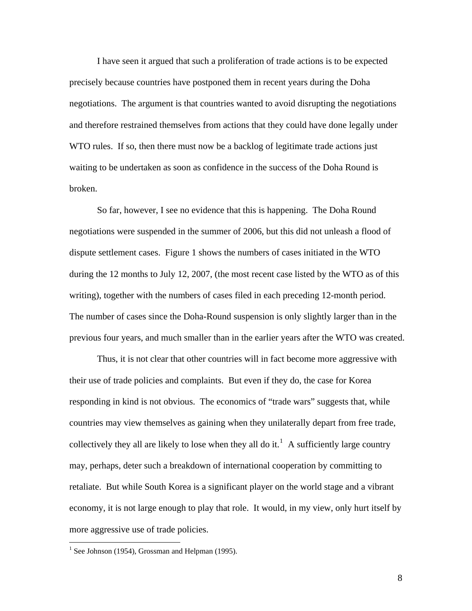I have seen it argued that such a proliferation of trade actions is to be expected precisely because countries have postponed them in recent years during the Doha negotiations. The argument is that countries wanted to avoid disrupting the negotiations and therefore restrained themselves from actions that they could have done legally under WTO rules. If so, then there must now be a backlog of legitimate trade actions just waiting to be undertaken as soon as confidence in the success of the Doha Round is broken.

 So far, however, I see no evidence that this is happening. The Doha Round negotiations were suspended in the summer of 2006, but this did not unleash a flood of dispute settlement cases. Figure 1 shows the numbers of cases initiated in the WTO during the 12 months to July 12, 2007, (the most recent case listed by the WTO as of this writing), together with the numbers of cases filed in each preceding 12-month period. The number of cases since the Doha-Round suspension is only slightly larger than in the previous four years, and much smaller than in the earlier years after the WTO was created.

 Thus, it is not clear that other countries will in fact become more aggressive with their use of trade policies and complaints. But even if they do, the case for Korea responding in kind is not obvious. The economics of "trade wars" suggests that, while countries may view themselves as gaining when they unilaterally depart from free trade, collectively they all are likely to lose when they all do it.<sup>[1](#page-10-0)</sup> A sufficiently large country may, perhaps, deter such a breakdown of international cooperation by committing to retaliate. But while South Korea is a significant player on the world stage and a vibrant economy, it is not large enough to play that role. It would, in my view, only hurt itself by more aggressive use of trade policies.

<u>.</u>

<span id="page-10-0"></span><sup>&</sup>lt;sup>1</sup> See Johnson (1954), Grossman and Helpman (1995).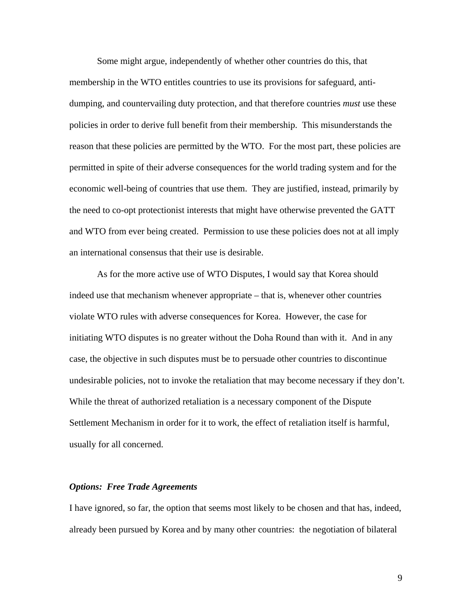Some might argue, independently of whether other countries do this, that membership in the WTO entitles countries to use its provisions for safeguard, antidumping, and countervailing duty protection, and that therefore countries *must* use these policies in order to derive full benefit from their membership. This misunderstands the reason that these policies are permitted by the WTO. For the most part, these policies are permitted in spite of their adverse consequences for the world trading system and for the economic well-being of countries that use them. They are justified, instead, primarily by the need to co-opt protectionist interests that might have otherwise prevented the GATT and WTO from ever being created. Permission to use these policies does not at all imply an international consensus that their use is desirable.

 As for the more active use of WTO Disputes, I would say that Korea should indeed use that mechanism whenever appropriate – that is, whenever other countries violate WTO rules with adverse consequences for Korea. However, the case for initiating WTO disputes is no greater without the Doha Round than with it. And in any case, the objective in such disputes must be to persuade other countries to discontinue undesirable policies, not to invoke the retaliation that may become necessary if they don't. While the threat of authorized retaliation is a necessary component of the Dispute Settlement Mechanism in order for it to work, the effect of retaliation itself is harmful, usually for all concerned.

#### *Options: Free Trade Agreements*

I have ignored, so far, the option that seems most likely to be chosen and that has, indeed, already been pursued by Korea and by many other countries: the negotiation of bilateral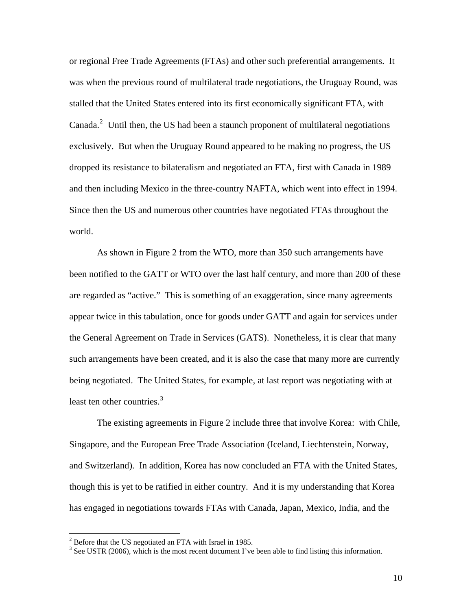or regional Free Trade Agreements (FTAs) and other such preferential arrangements. It was when the previous round of multilateral trade negotiations, the Uruguay Round, was stalled that the United States entered into its first economically significant FTA, with Canada. $^2$  $^2$  Until then, the US had been a staunch proponent of multilateral negotiations exclusively. But when the Uruguay Round appeared to be making no progress, the US dropped its resistance to bilateralism and negotiated an FTA, first with Canada in 1989 and then including Mexico in the three-country NAFTA, which went into effect in 1994. Since then the US and numerous other countries have negotiated FTAs throughout the world.

As shown in Figure 2 from the WTO, more than 350 such arrangements have been notified to the GATT or WTO over the last half century, and more than 200 of these are regarded as "active." This is something of an exaggeration, since many agreements appear twice in this tabulation, once for goods under GATT and again for services under the General Agreement on Trade in Services (GATS). Nonetheless, it is clear that many such arrangements have been created, and it is also the case that many more are currently being negotiated. The United States, for example, at last report was negotiating with at least ten other countries. $3$ 

 The existing agreements in Figure 2 include three that involve Korea: with Chile, Singapore, and the European Free Trade Association (Iceland, Liechtenstein, Norway, and Switzerland). In addition, Korea has now concluded an FTA with the United States, though this is yet to be ratified in either country. And it is my understanding that Korea has engaged in negotiations towards FTAs with Canada, Japan, Mexico, India, and the

<span id="page-12-0"></span><sup>&</sup>lt;sup>2</sup> Before that the US negotiated an FTA with Israel in 1985.

<span id="page-12-1"></span> $3$  See USTR (2006), which is the most recent document I've been able to find listing this information.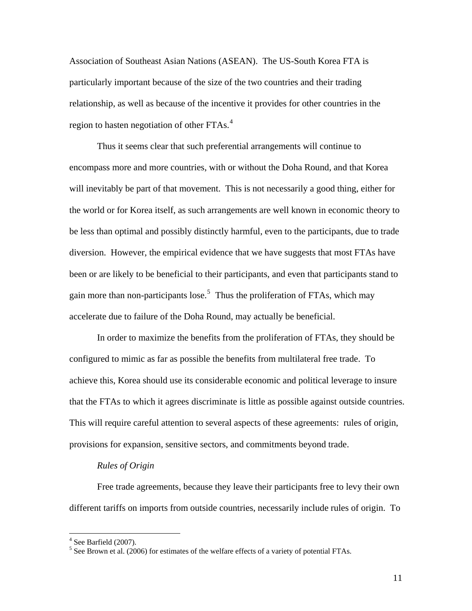Association of Southeast Asian Nations (ASEAN). The US-South Korea FTA is particularly important because of the size of the two countries and their trading relationship, as well as because of the incentive it provides for other countries in the region to hasten negotiation of other FTAs.<sup>[4](#page-13-0)</sup>

 Thus it seems clear that such preferential arrangements will continue to encompass more and more countries, with or without the Doha Round, and that Korea will inevitably be part of that movement. This is not necessarily a good thing, either for the world or for Korea itself, as such arrangements are well known in economic theory to be less than optimal and possibly distinctly harmful, even to the participants, due to trade diversion. However, the empirical evidence that we have suggests that most FTAs have been or are likely to be beneficial to their participants, and even that participants stand to gain more than non-participants lose.<sup>[5](#page-13-1)</sup> Thus the proliferation of FTAs, which may accelerate due to failure of the Doha Round, may actually be beneficial.

 In order to maximize the benefits from the proliferation of FTAs, they should be configured to mimic as far as possible the benefits from multilateral free trade. To achieve this, Korea should use its considerable economic and political leverage to insure that the FTAs to which it agrees discriminate is little as possible against outside countries. This will require careful attention to several aspects of these agreements: rules of origin, provisions for expansion, sensitive sectors, and commitments beyond trade.

#### *Rules of Origin*

Free trade agreements, because they leave their participants free to levy their own different tariffs on imports from outside countries, necessarily include rules of origin. To

<span id="page-13-0"></span> 4 See Barfield (2007).

<span id="page-13-1"></span> $<sup>5</sup>$  See Brown et al. (2006) for estimates of the welfare effects of a variety of potential FTAs.</sup>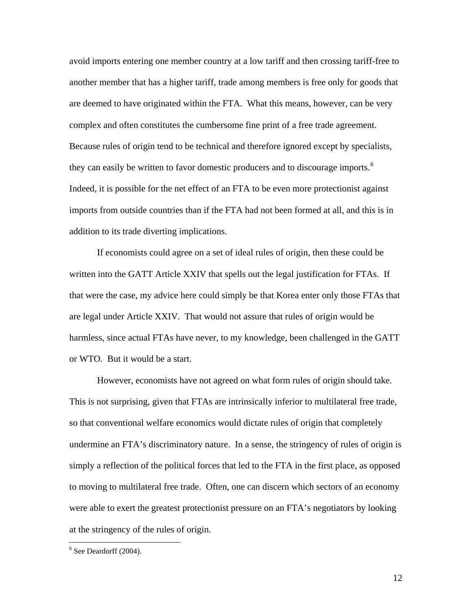avoid imports entering one member country at a low tariff and then crossing tariff-free to another member that has a higher tariff, trade among members is free only for goods that are deemed to have originated within the FTA. What this means, however, can be very complex and often constitutes the cumbersome fine print of a free trade agreement. Because rules of origin tend to be technical and therefore ignored except by specialists, they can easily be written to favor domestic producers and to discourage imports.<sup>[6](#page-14-0)</sup> Indeed, it is possible for the net effect of an FTA to be even more protectionist against imports from outside countries than if the FTA had not been formed at all, and this is in addition to its trade diverting implications.

If economists could agree on a set of ideal rules of origin, then these could be written into the GATT Article XXIV that spells out the legal justification for FTAs. If that were the case, my advice here could simply be that Korea enter only those FTAs that are legal under Article XXIV. That would not assure that rules of origin would be harmless, since actual FTAs have never, to my knowledge, been challenged in the GATT or WTO. But it would be a start.

However, economists have not agreed on what form rules of origin should take. This is not surprising, given that FTAs are intrinsically inferior to multilateral free trade, so that conventional welfare economics would dictate rules of origin that completely undermine an FTA's discriminatory nature. In a sense, the stringency of rules of origin is simply a reflection of the political forces that led to the FTA in the first place, as opposed to moving to multilateral free trade. Often, one can discern which sectors of an economy were able to exert the greatest protectionist pressure on an FTA's negotiators by looking at the stringency of the rules of origin.

<u>.</u>

<span id="page-14-0"></span> $6$  See Deardorff (2004).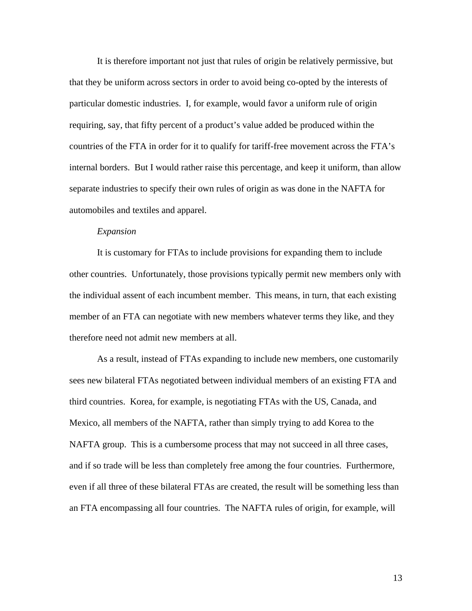It is therefore important not just that rules of origin be relatively permissive, but that they be uniform across sectors in order to avoid being co-opted by the interests of particular domestic industries. I, for example, would favor a uniform rule of origin requiring, say, that fifty percent of a product's value added be produced within the countries of the FTA in order for it to qualify for tariff-free movement across the FTA's internal borders. But I would rather raise this percentage, and keep it uniform, than allow separate industries to specify their own rules of origin as was done in the NAFTA for automobiles and textiles and apparel.

#### *Expansion*

It is customary for FTAs to include provisions for expanding them to include other countries. Unfortunately, those provisions typically permit new members only with the individual assent of each incumbent member. This means, in turn, that each existing member of an FTA can negotiate with new members whatever terms they like, and they therefore need not admit new members at all.

As a result, instead of FTAs expanding to include new members, one customarily sees new bilateral FTAs negotiated between individual members of an existing FTA and third countries. Korea, for example, is negotiating FTAs with the US, Canada, and Mexico, all members of the NAFTA, rather than simply trying to add Korea to the NAFTA group. This is a cumbersome process that may not succeed in all three cases, and if so trade will be less than completely free among the four countries. Furthermore, even if all three of these bilateral FTAs are created, the result will be something less than an FTA encompassing all four countries. The NAFTA rules of origin, for example, will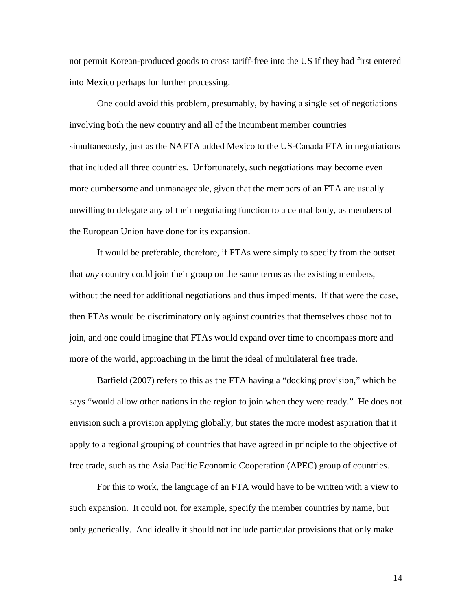not permit Korean-produced goods to cross tariff-free into the US if they had first entered into Mexico perhaps for further processing.

One could avoid this problem, presumably, by having a single set of negotiations involving both the new country and all of the incumbent member countries simultaneously, just as the NAFTA added Mexico to the US-Canada FTA in negotiations that included all three countries. Unfortunately, such negotiations may become even more cumbersome and unmanageable, given that the members of an FTA are usually unwilling to delegate any of their negotiating function to a central body, as members of the European Union have done for its expansion.

It would be preferable, therefore, if FTAs were simply to specify from the outset that *any* country could join their group on the same terms as the existing members, without the need for additional negotiations and thus impediments. If that were the case, then FTAs would be discriminatory only against countries that themselves chose not to join, and one could imagine that FTAs would expand over time to encompass more and more of the world, approaching in the limit the ideal of multilateral free trade.

Barfield (2007) refers to this as the FTA having a "docking provision," which he says "would allow other nations in the region to join when they were ready." He does not envision such a provision applying globally, but states the more modest aspiration that it apply to a regional grouping of countries that have agreed in principle to the objective of free trade, such as the Asia Pacific Economic Cooperation (APEC) group of countries.

For this to work, the language of an FTA would have to be written with a view to such expansion. It could not, for example, specify the member countries by name, but only generically. And ideally it should not include particular provisions that only make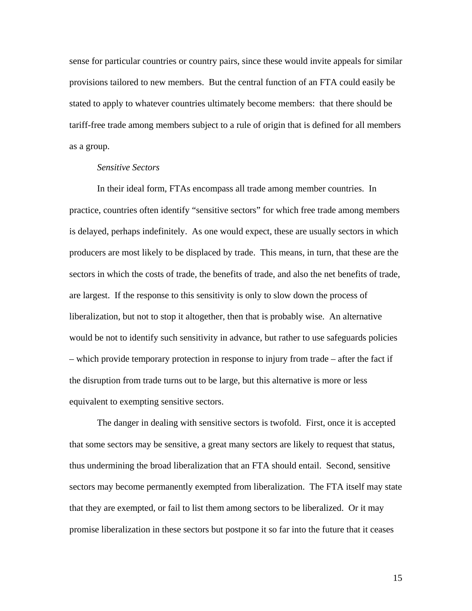sense for particular countries or country pairs, since these would invite appeals for similar provisions tailored to new members. But the central function of an FTA could easily be stated to apply to whatever countries ultimately become members: that there should be tariff-free trade among members subject to a rule of origin that is defined for all members as a group.

#### *Sensitive Sectors*

In their ideal form, FTAs encompass all trade among member countries. In practice, countries often identify "sensitive sectors" for which free trade among members is delayed, perhaps indefinitely. As one would expect, these are usually sectors in which producers are most likely to be displaced by trade. This means, in turn, that these are the sectors in which the costs of trade, the benefits of trade, and also the net benefits of trade, are largest. If the response to this sensitivity is only to slow down the process of liberalization, but not to stop it altogether, then that is probably wise. An alternative would be not to identify such sensitivity in advance, but rather to use safeguards policies – which provide temporary protection in response to injury from trade – after the fact if the disruption from trade turns out to be large, but this alternative is more or less equivalent to exempting sensitive sectors.

The danger in dealing with sensitive sectors is twofold. First, once it is accepted that some sectors may be sensitive, a great many sectors are likely to request that status, thus undermining the broad liberalization that an FTA should entail. Second, sensitive sectors may become permanently exempted from liberalization. The FTA itself may state that they are exempted, or fail to list them among sectors to be liberalized. Or it may promise liberalization in these sectors but postpone it so far into the future that it ceases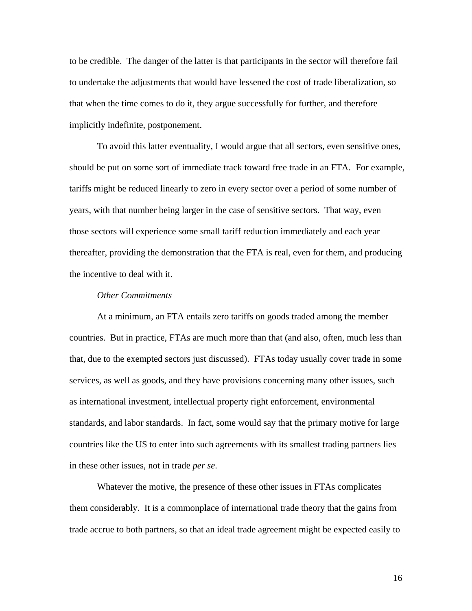to be credible. The danger of the latter is that participants in the sector will therefore fail to undertake the adjustments that would have lessened the cost of trade liberalization, so that when the time comes to do it, they argue successfully for further, and therefore implicitly indefinite, postponement.

To avoid this latter eventuality, I would argue that all sectors, even sensitive ones, should be put on some sort of immediate track toward free trade in an FTA. For example, tariffs might be reduced linearly to zero in every sector over a period of some number of years, with that number being larger in the case of sensitive sectors. That way, even those sectors will experience some small tariff reduction immediately and each year thereafter, providing the demonstration that the FTA is real, even for them, and producing the incentive to deal with it.

#### *Other Commitments*

At a minimum, an FTA entails zero tariffs on goods traded among the member countries. But in practice, FTAs are much more than that (and also, often, much less than that, due to the exempted sectors just discussed). FTAs today usually cover trade in some services, as well as goods, and they have provisions concerning many other issues, such as international investment, intellectual property right enforcement, environmental standards, and labor standards. In fact, some would say that the primary motive for large countries like the US to enter into such agreements with its smallest trading partners lies in these other issues, not in trade *per se*.

Whatever the motive, the presence of these other issues in FTAs complicates them considerably. It is a commonplace of international trade theory that the gains from trade accrue to both partners, so that an ideal trade agreement might be expected easily to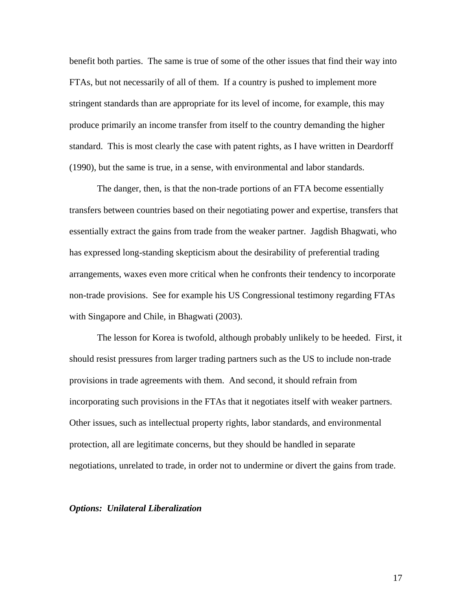benefit both parties. The same is true of some of the other issues that find their way into FTAs, but not necessarily of all of them. If a country is pushed to implement more stringent standards than are appropriate for its level of income, for example, this may produce primarily an income transfer from itself to the country demanding the higher standard. This is most clearly the case with patent rights, as I have written in Deardorff (1990), but the same is true, in a sense, with environmental and labor standards.

The danger, then, is that the non-trade portions of an FTA become essentially transfers between countries based on their negotiating power and expertise, transfers that essentially extract the gains from trade from the weaker partner. Jagdish Bhagwati, who has expressed long-standing skepticism about the desirability of preferential trading arrangements, waxes even more critical when he confronts their tendency to incorporate non-trade provisions. See for example his US Congressional testimony regarding FTAs with Singapore and Chile, in Bhagwati (2003).

The lesson for Korea is twofold, although probably unlikely to be heeded. First, it should resist pressures from larger trading partners such as the US to include non-trade provisions in trade agreements with them. And second, it should refrain from incorporating such provisions in the FTAs that it negotiates itself with weaker partners. Other issues, such as intellectual property rights, labor standards, and environmental protection, all are legitimate concerns, but they should be handled in separate negotiations, unrelated to trade, in order not to undermine or divert the gains from trade.

#### *Options: Unilateral Liberalization*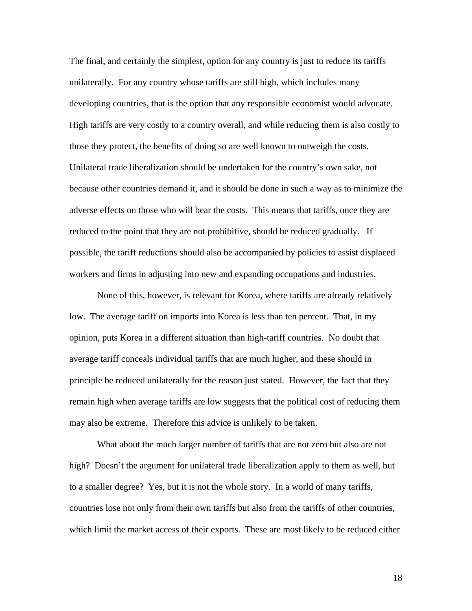The final, and certainly the simplest, option for any country is just to reduce its tariffs unilaterally. For any country whose tariffs are still high, which includes many developing countries, that is the option that any responsible economist would advocate. High tariffs are very costly to a country overall, and while reducing them is also costly to those they protect, the benefits of doing so are well known to outweigh the costs. Unilateral trade liberalization should be undertaken for the country's own sake, not because other countries demand it, and it should be done in such a way as to minimize the adverse effects on those who will bear the costs. This means that tariffs, once they are reduced to the point that they are not prohibitive, should be reduced gradually. If possible, the tariff reductions should also be accompanied by policies to assist displaced workers and firms in adjusting into new and expanding occupations and industries.

 None of this, however, is relevant for Korea, where tariffs are already relatively low. The average tariff on imports into Korea is less than ten percent. That, in my opinion, puts Korea in a different situation than high-tariff countries. No doubt that average tariff conceals individual tariffs that are much higher, and these should in principle be reduced unilaterally for the reason just stated. However, the fact that they remain high when average tariffs are low suggests that the political cost of reducing them may also be extreme. Therefore this advice is unlikely to be taken.

 What about the much larger number of tariffs that are not zero but also are not high? Doesn't the argument for unilateral trade liberalization apply to them as well, but to a smaller degree? Yes, but it is not the whole story. In a world of many tariffs, countries lose not only from their own tariffs but also from the tariffs of other countries, which limit the market access of their exports. These are most likely to be reduced either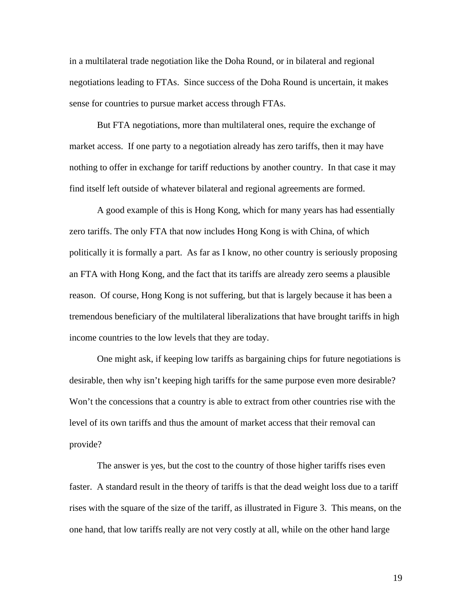in a multilateral trade negotiation like the Doha Round, or in bilateral and regional negotiations leading to FTAs. Since success of the Doha Round is uncertain, it makes sense for countries to pursue market access through FTAs.

 But FTA negotiations, more than multilateral ones, require the exchange of market access. If one party to a negotiation already has zero tariffs, then it may have nothing to offer in exchange for tariff reductions by another country. In that case it may find itself left outside of whatever bilateral and regional agreements are formed.

 A good example of this is Hong Kong, which for many years has had essentially zero tariffs. The only FTA that now includes Hong Kong is with China, of which politically it is formally a part. As far as I know, no other country is seriously proposing an FTA with Hong Kong, and the fact that its tariffs are already zero seems a plausible reason. Of course, Hong Kong is not suffering, but that is largely because it has been a tremendous beneficiary of the multilateral liberalizations that have brought tariffs in high income countries to the low levels that they are today.

 One might ask, if keeping low tariffs as bargaining chips for future negotiations is desirable, then why isn't keeping high tariffs for the same purpose even more desirable? Won't the concessions that a country is able to extract from other countries rise with the level of its own tariffs and thus the amount of market access that their removal can provide?

 The answer is yes, but the cost to the country of those higher tariffs rises even faster. A standard result in the theory of tariffs is that the dead weight loss due to a tariff rises with the square of the size of the tariff, as illustrated in Figure 3. This means, on the one hand, that low tariffs really are not very costly at all, while on the other hand large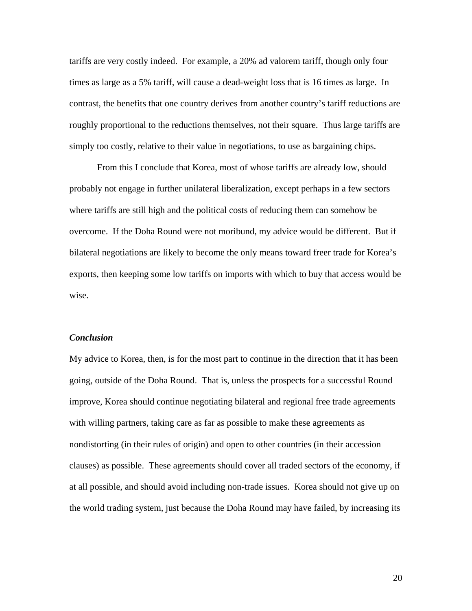tariffs are very costly indeed. For example, a 20% ad valorem tariff, though only four times as large as a 5% tariff, will cause a dead-weight loss that is 16 times as large. In contrast, the benefits that one country derives from another country's tariff reductions are roughly proportional to the reductions themselves, not their square. Thus large tariffs are simply too costly, relative to their value in negotiations, to use as bargaining chips.

 From this I conclude that Korea, most of whose tariffs are already low, should probably not engage in further unilateral liberalization, except perhaps in a few sectors where tariffs are still high and the political costs of reducing them can somehow be overcome. If the Doha Round were not moribund, my advice would be different. But if bilateral negotiations are likely to become the only means toward freer trade for Korea's exports, then keeping some low tariffs on imports with which to buy that access would be wise.

#### *Conclusion*

My advice to Korea, then, is for the most part to continue in the direction that it has been going, outside of the Doha Round. That is, unless the prospects for a successful Round improve, Korea should continue negotiating bilateral and regional free trade agreements with willing partners, taking care as far as possible to make these agreements as nondistorting (in their rules of origin) and open to other countries (in their accession clauses) as possible. These agreements should cover all traded sectors of the economy, if at all possible, and should avoid including non-trade issues. Korea should not give up on the world trading system, just because the Doha Round may have failed, by increasing its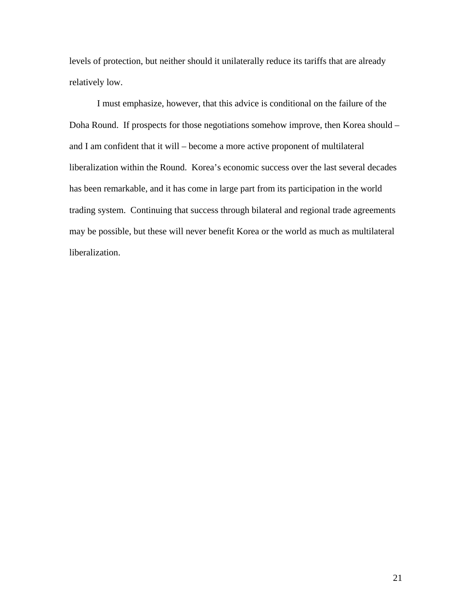levels of protection, but neither should it unilaterally reduce its tariffs that are already relatively low.

 I must emphasize, however, that this advice is conditional on the failure of the Doha Round. If prospects for those negotiations somehow improve, then Korea should – and I am confident that it will – become a more active proponent of multilateral liberalization within the Round. Korea's economic success over the last several decades has been remarkable, and it has come in large part from its participation in the world trading system. Continuing that success through bilateral and regional trade agreements may be possible, but these will never benefit Korea or the world as much as multilateral liberalization.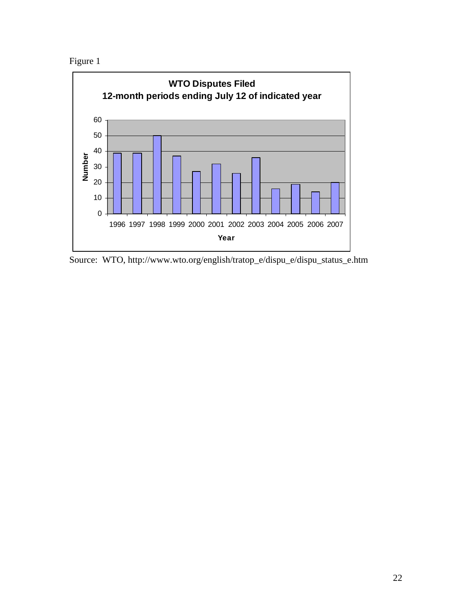Figure 1



Source: WTO, http://www.wto.org/english/tratop\_e/dispu\_e/dispu\_status\_e.htm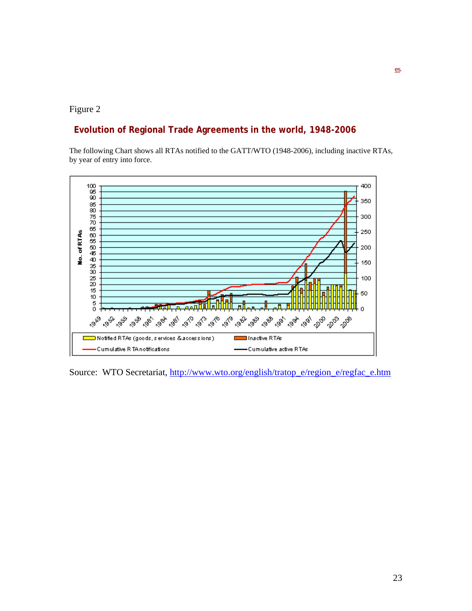#### Figure 2

### **Evolution of Regional Trade Agreements in the world, 1948-2006**

The following Chart shows all RTAs notified to the GATT/WTO (1948-2006), including inactive RTAs, by year of entry into force.



Source: WTO Secretariat, [http://www.wto.org/english/tratop\\_e/region\\_e/regfac\\_e.htm](http://www.wto.org/english/tratop_e/region_e/regfac_e.htm)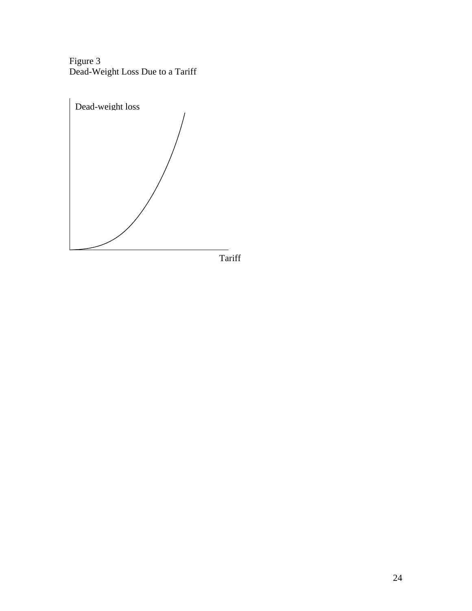Figure 3 Dead-Weight Loss Due to a Tariff



Tariff